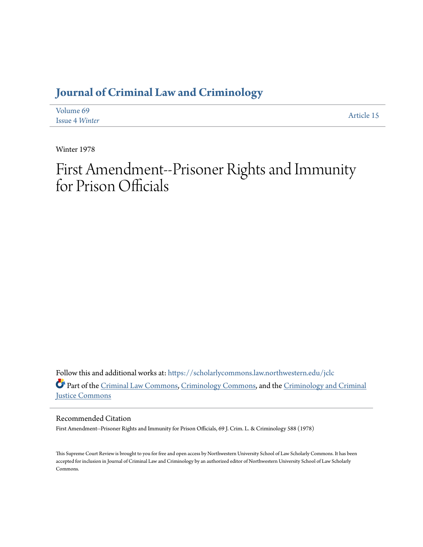### **[Journal of Criminal Law and Criminology](https://scholarlycommons.law.northwestern.edu/jclc?utm_source=scholarlycommons.law.northwestern.edu%2Fjclc%2Fvol69%2Fiss4%2F15&utm_medium=PDF&utm_campaign=PDFCoverPages)**

| Volume 69             | Article 15 |
|-----------------------|------------|
| <b>Issue 4 Winter</b> |            |

Winter 1978

# First Amendment--Prisoner Rights and Immunity for Prison Officials

Follow this and additional works at: [https://scholarlycommons.law.northwestern.edu/jclc](https://scholarlycommons.law.northwestern.edu/jclc?utm_source=scholarlycommons.law.northwestern.edu%2Fjclc%2Fvol69%2Fiss4%2F15&utm_medium=PDF&utm_campaign=PDFCoverPages) Part of the [Criminal Law Commons](http://network.bepress.com/hgg/discipline/912?utm_source=scholarlycommons.law.northwestern.edu%2Fjclc%2Fvol69%2Fiss4%2F15&utm_medium=PDF&utm_campaign=PDFCoverPages), [Criminology Commons](http://network.bepress.com/hgg/discipline/417?utm_source=scholarlycommons.law.northwestern.edu%2Fjclc%2Fvol69%2Fiss4%2F15&utm_medium=PDF&utm_campaign=PDFCoverPages), and the [Criminology and Criminal](http://network.bepress.com/hgg/discipline/367?utm_source=scholarlycommons.law.northwestern.edu%2Fjclc%2Fvol69%2Fiss4%2F15&utm_medium=PDF&utm_campaign=PDFCoverPages) [Justice Commons](http://network.bepress.com/hgg/discipline/367?utm_source=scholarlycommons.law.northwestern.edu%2Fjclc%2Fvol69%2Fiss4%2F15&utm_medium=PDF&utm_campaign=PDFCoverPages)

Recommended Citation

First Amendment--Prisoner Rights and Immunity for Prison Officials, 69 J. Crim. L. & Criminology 588 (1978)

This Supreme Court Review is brought to you for free and open access by Northwestern University School of Law Scholarly Commons. It has been accepted for inclusion in Journal of Criminal Law and Criminology by an authorized editor of Northwestern University School of Law Scholarly Commons.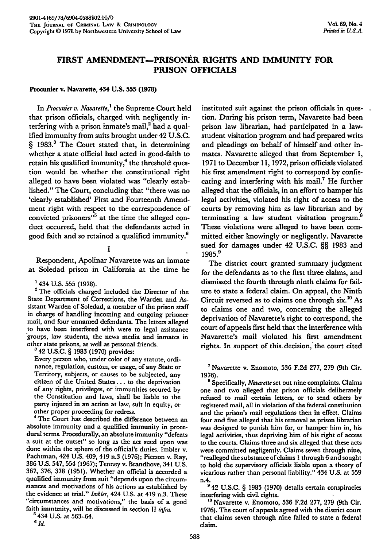## PRISON **OFFICIALS**

#### Procunier v. Navarette, 434 **U.S. 555 (1978)**

In *Procunier v. Navarette,'* the Supreme Court held that prison officials, charged with negligently interfering with a prison inmate's mail, $^2$  had a qualified immunity from suits brought under 42 U.S.C. § 1983.<sup>3</sup> The Court stated that, in determining whether a state official had acted in good-faith to retain his qualified immunity,<sup>4</sup> the threshold question would be whether the constitutional right alleged to have been violated was "clearly established." The Court, concluding that "there was no 'clearly established' First and Fourteenth Amendment right with respect to the correspondence of convicted prisoners<sup>35</sup> at the time the alleged conduct occurred, held that the defendants acted in good faith and so retained a qualified immunity.6

#### **I**

Respondent, Apolinar Navarette was an inmate at Soledad prison in California at the time he

'434 **U.S.** 555 **(1978).** <sup>2</sup>**The** officials charged included the Director of the State Department of Corrections, the Warden and Assistant Warden of Soledad, a member of the prison staff in charge of handling incoming and outgoing prisoner mail, and four unnamed defendants. The letters alleged to have been interfered with were to legal assistance groups, law students, the news media and inmates in other state prisons, as well as personal friends.

**<sup>3</sup>**42 **U.S.C.** § **1983 (1970)** provides:

Every person who, under color of any statute, ordinance, regulation, custom, or usage, of any State or Territory, subjects, or causes to be subjected, any citizen of the United States... to the deprivation of any rights, privileges, or immunities secured **by** the Constitution and laws, shall be liable to the party injured in an action at law, suit in equity, or

other proper proceeding for redress. <sup>4</sup>The Court has described the difference between an absolute immunity and a qualified immunity in procedural terms. Procedurally, an absolute immunity "defeats a suit at the outset" so long as the act sued upon was done within the sphere of the official's duties. Imbler v. Pachtman, 424 U.S. 409, 419 n.3 (1976); Pierson v. Ray, **386** U.S. 547, 554 (1967); Tenney v. Brandhove, 341 U.S. 367, 376, **378** (1951). Whether an official is accorded a qualified immunity from suit "depends upon the circumstances and motivations of his actions as established **by** the evidence at trial." *Inibler,* 424 **U.S.** at 419 n.3. These "circumstances and motivations," the basis of a good faith immunity, will be discussed in section **II** *infra.*

" 434 **U.& at 563-64. <sup>6</sup> id.**

instituted suit against the prison officials in question. During his prison term, Navarette had been prison law librarian, had participated in a lawstudent visitation program and **had** prepared writs and pleadings on behalf of himself and other inmates. Navarette alleged that from September **1, 1971** to December **11, 1972,** prison officials violated his first amendment right to correspond **by** confiscating and interfering with his mail.<sup>7</sup> He further alleged that the officials, in an effort to hamper his legal activities, violated his right of access to the courts **by** removing him as law librarian and **by** terminating a law student visitation program.<sup>8</sup> These violations were alleged to have been committed either knowingly or negligently. Navarette sued for damages under 42 **U.S.C.** §§ **1983** and **1985.9**

The district court granted summary judgment for the defendants as to the first three claims, and dismissed the fourth through ninth claims for failure to state a federal claim. On appeal, the Ninth Circuit reversed as to claims one through six. <sup>10</sup>**As** to claims one and two, concerning the alleged deprivation of Navarette's right to correspond, the court of appeals first held that the interference with Navarette's mail violated his first amendment rights. In support of this decision, the court cited

**<sup>7</sup>**Navarette v. Enomoto, **536** F.2d 277, **279** (9th Cir.

1976). **<sup>8</sup>**Specifically, *Navarette* set out nine complaints. Claims one and two alleged that prison officials deliberately refused to mail certain letters, or to send others **by** registered mail, all in violation of the federal constitution and the prison's mail regulations then in effect. Claims four and five alleged that his removal as prison librarian was designed to punish him for, or hamper him in, his legal activities, thus depriving him of his right of access to the courts. Claims three and six alleged that these acts were committed negligently. Claims seven through nine, "realleged the substance of claims 1 through 6 and sought to hold the supervisory officials liable upon a theory of vicarious rather than personal liability." 434 **U.S.** at **559** n.4.

**9** 42 **U.S.C.** § **1985 (1970)** details certain conspiracies interfering with civil rights.

**t <sup>0</sup>**Navarette v. Enomoto, **536 F.2d 277, 279** (9th Cir. **1976).** The court of appeals agreed with the district court that claims seven through nine failed to state a federal claim.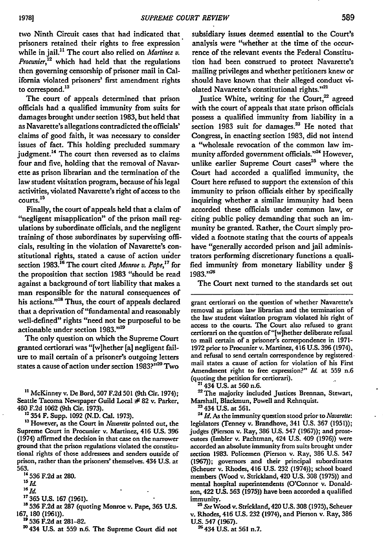two Ninth Circuit cases that had indicated that prisoners retained their rights to free expression while in jail." The court also relied on *Martinez v. Procunier,12* which had held that the regulations then governing censorship of prisoner mail in California violated prisoners' first amendment rights to correspond.<sup>13</sup>

The court of appeals determined that prison officials had a qualified immunity from suits for damages brought under section 1983, but held that as Navarette's allegations contradicted the officials' claims of good faith, it was necessary to consider issues of fact. This holding precluded summary judgment.<sup>14</sup> The court then reversed as to claims four and five, holding that the removal of Navarette as prison librarian and the termination of the law student visitation program, because of his legal activities, violated Navarette's right of access to the 15 courts.<sup>15</sup>

Finally, the court of appeals held that a claim of "negligent misapplication" of the prison mail regulations **by** subordinate officials, and the negligent training of those subordinates **by** supervising officials, resulting in the violation of Navarette's constitutional rights, stated a cause of action urder section **1983.16** The court cited *Monroe v. Pape,7* for the proposition that section **1983** "should be read against a background of tort liability that makes a man responsible for the natural consequences of his actions."<sup>18</sup> Thus, the court of appeals declared that a deprivation of "fundamental and reasonably well-defined" rights "need not be purposeful to be actionable under section **1983."'19**

The only question on which the Supreme Court granted certiorari was "[w]hether **[a]** negligent failure to mail certain of a prisoner's outgoing letters states a cause of action under section **1983?'' 2D** Two

**11** McKinney v. **De** Bord, **507 F.2d 501** (9th Cir. 1974); Seattle Tacoma Newspaper Guild Local # **82** v. Parker, <sup>480</sup>**F.2d 1062** (9th Cir. **1973). 12 354** F. Supp. **1092 (N.D.** Cal. **1973). '3** However, as the Court in *Navareltt* **pointed out, the**

Supreme Court in Procunier v. Martinez, 416 **U.S. 396** (1974) affirmed the decision in that case on the narrower ground that the prison regulations violated the constitutional rights of those addressees and senders outside of prison, rather than the prisoners' themselves. 434 **U.S.** at **563.**

"4 **536 F.2d** at 280.

 $15$   $\overline{Id}$ 

*"aId*

**17365 U.S. 167 (1961).**

**18 536 F.2d** at **287** (quoting Monroe v. Pape, **365 U.S. 167, 180 (1961)). " 536 F.2d** at **281-82.**

20 434 **U.S.** at **559** n.6. The Supreme Court did not

subsidiary issues deemed essential to the Court's analysis were "whether at the time of the occurrence of the relevant events the Federal Constitution had been construed to protect Navarette's mailing privileges and whether petitioners knew or should have known that their alleged conduct violated Navarette's constitutional rights."<sup>21</sup>

Justice White, writing for the Court, $^{22}$  agreed with the court of appeals that state prison officials possess a qualified immunity from liability in a section 1983 suit for damages.<sup>23</sup> He noted that Congress, in enacting section **1983,** did not intend a "wholesale revocation of the common law immunity afforded government officials."<sup>24</sup> However, unlike earlier Supreme Court cases<sup>25</sup> where the Court had accorded a qualified immunity, the Court here refused to support the extension of this immunity to prison officials either **by** specifically inquiring whether a similar immunity had been accorded these officials under common law, or citing public policy demanding that such an immunity be granted. Rather, the Court simply provided a footnote stating that the courts of appeals have "generally accorded prison and jail administrators performing discretionary functions a qualified immunity from monetary liability under § **1983."<sup>26</sup>**

The Court next turned to the standards set out

grant certiorari on the question of whether Navarette's removal as prison law librarian and the termination of the law student visitation program violated his right of access to the courts. The Court also refused to grant certiorari on the question of "[w]hether deliberate refusal to mail certain of a prisoner's correspondence in **1971- 1972** prior to Procunier v. Martinez, 416 **U.S. 396** (1974), and refusal to send certain correspondence **by** registered. mail states a cause of action for violation of his First Amendment right to free expression?" Id. at 559 n.6 (quoting the **petition for certiorari).** 21 434 **U.S.** at **560** n.6.

<sup>22</sup> The majority included Justices Brennan, Stewart, Marshall, Blackmun, Powell and Rehnquist.

**23 434** U.S. at 561. *<sup>24</sup> Id.* As the immunity question stood prior to *Navarette:* legislators (lenney **v.** Brandhove, 341 U.S. **367** (1951)); judges (Pierson v- Ray, **386** U.S. 547 **(1967));** and prosecutors (Imbler v. Pachtman, 424 U.S. 409 **(1976))** were accorded an absolute immunity from suits brought under section **1983.** Policemen (Pierson v. Ray, **386** U.S. 547 **(1967));** governors and their principal subordinates (Scheuer v. Rhodes, 416 U.S. **232** (1974)); school board members (Wood *v.* Strickland, 420 **U.S. 308** (1975)) and mental hospital superintendents (O'Connor v. Donaldson, 422 **US. 563 (1975))** have been accorded a qualified immunity.

*2" See* Wood v. Strickland, 420 **U.S. 308 (1975),** Scheuer **v.** Rhodes, 416 **U.S. 232** (1974), and Pierson v. Ray, **386 U.S.** 547 **(1967). 26434 U.S.** at **561** n.7.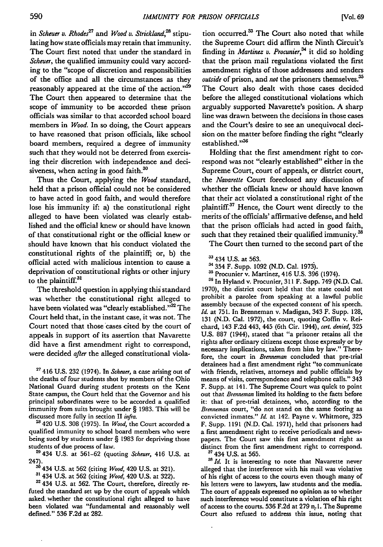in *Scheuer v. Rhodes<sup>27</sup>*and *Wood v. Strickland,28* stipulating how state officials may retain that immunity. The Court first noted that under the standard in *Scheuer,* the qualified immunity could vary according to the "scope of discretion and responsibilities of the office and all the circumstances as they reasonably appeared at the time of the action."<sup>29</sup> The Court then appeared to determine that the scope of immunity to be accorded these prison officials was similar to that accorded school board members in *Wood.* In so doing, the Court appears to have reasoned that prison officials, like school board members, required a degree of immunity such that they would not be deterred from exercising their discretion with independence and decisiveness, when acting in good faith. $30$ 

Thus the Court, applying the *Wood* standard, held that a prison official could not be considered to have acted in good faith, and would therefore lose his immunity if: a) the constitutional right alleged to have been violated was clearly established and the official knew or should have known of that constitutional right or the official knew or should have known that his conduct violated the constitutional rights of the plaintiff; or, b) the official acted with malicious intention to cause a deprivation of constitutional rights or other injury to the plaintiff.<sup>31</sup>

The threshold question in applying this standard was whether the constitutional right alleged to have been violated was "clearly established."<sup>32</sup> The Court held that, in the instant case, it was not. The Court noted that those cases cited by the court of appeals in support of its assertion that Navarette did have a first amendment right to correspond, were decided *after* the alleged constitutional viola-

**<sup>27</sup>**416 U.S. 232 (1974). In *Scheuer,* a case arising out of the deaths of four students shot by members of the Ohio National Guard during student protests on the Kent State campus, the Court held that the Governor and his principal subordinates were to be accorded a qualified immunity from suits brought under § 1983. This will be discussed more fully in section II *infa.*

2 420 U.S. 308 (1975). In *Wood,* the Court accorded a qualified immunity to school board members who were being sued by students under § 1983 for depriving those students of due process of law.

**2** 434 U.S. at 561-62 (quoting *Scheuer,* 416 U.S. at 247). **'3 <sup>4</sup> <sup>3</sup> <sup>4</sup>**U.S. at 562 (citing *Wood,* 420 U.S. at 321). **3'** 434 U.S. at 562 (citing *Wood,* 420 U.S. at 322).

<sup>31</sup> 434 U.S. at 562 (citing *Wood*, 420 U.S. at 322).<br><sup>32</sup> 434 U.S. at 562. The Court, therefore, directly refuted the standard set up by the court of appeals which asked, whether the constitutional right alleged to have been violated was "fundamental and reasonably well defined." 536 F.2d at 282.

tion occurred.<sup>33</sup> The Court also noted that while the Supreme Court did affirm the Ninth Circuit's finding in *Martinez v. Procunier,34* it did so holding that the prison mail regulations violated the first amendment rights of those addressees and senders *outside* of prison, and not the prisoners themselves. <sup>35</sup> The Court also dealt with those cases decided before the alleged constitutional violations which arguably supported Navarette's position. **A** sharp line was drawn between the decisions in those cases and the Court's desire to see an unequivocal decision on the matter before finding the right "clearly established."<sup>36</sup>

Holding that the first amendment right to correspond was not "clearly established" either in the Supreme Court, court of appeals, or district court, the *Navarette* Court foreclosed any discussion of whether the officials knew or should have known that their act violated a constitutional right of the plaintiff.<sup>37</sup> Hence, the Court went directly to the merits of the officials' affirmative defense, and held that the prison officials had acted in good faith, such that they retained their qualified immunity.<sup>38</sup>

The Court then turned to the second part of the

- **3** 434 **U.S.** at **563.**
- 

<sup>35</sup> Procunier v. Martinez, 416 U.S. 396 (1974).<br><sup>36</sup> In Hyland v. Procunier, 311 F. Supp. 749 (N.D. Cal. 1970), the district court held that the state could not prohibit a parolee from speaking at a lawful public assembly because of the expected content of his speech. *Id.* at 751. In Brenneman v. Madigan, 343 F. Supp. 128, 131 (N.D. Cal. 1972), the court, quoting Coffin v. Reichard, 143 **F.2d** 443, 445 (6th Cir. 1944), *cert. denied,* 325 **U.S. 887** (1944), stated that "a prisoner retains all the rights after ordinary citizens except those expressly or **by** necessary implications, taken from him **by** law." Therefore, the court in *Brenneman* concluded that pre-trial detainees had a first amendment right "to communicate with friends, relatives, attorneys and public officials **by** means of visits, correspondence and telephone calls." 343 F. Supp. at 141. The Supreme Court was quick to point out that *Brenneman* limited its holding to the facts before **it:** that of pre-trial detainees, who, according to the *Brenneman* court, "do not stand on the same footing as convicted inmates." *Id.* at 142. Payne v. Whitmore, **325** F. Supp. **1191 (N.D.** Cal. **1971),** held that prisoners had a first amendment right to receive periodicals and newspapers. The Court saw this first amendment right as distinct from the first amendment right to correspond. **"7** 434 U.S. at **565.**

**<sup>3</sup>***Id.* It is interesting to note that Navarette never alleged that the interference with his mail was violative of his right of access to the courts even though many of his letters were to lawyers, law students and the media. The court of appeals expressed no opinion as to whether such interference would constitute a violation of his right of access to the courts. **536 F.2d** at **279 n.1.** The Supreme Court also refused to address this issue, noting that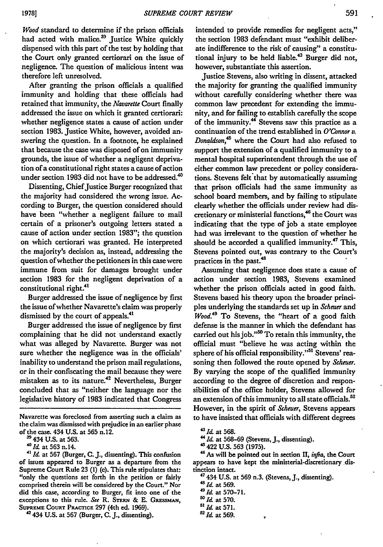*Wood* standard to determine if the prison officials had acted with malice.<sup>39</sup> Justice White quickly dispensed with this part of the test **by** holding that the Court only granted certiorari on the issue of negligence. The question of malicious intent was therefore left unresolved.

After granting the prison officials a qualified immunity and holding that these officials had retained that immunity, the *Navarette* Court finally addressed the issue on which it granted certiorari: whether negligence states a cause of action under section **1983.** Justice White, however, avoided answering the question. In a footnote, he explained that because the case was disposed of on immunity grounds, the issue of whether a negligent deprivation of a constitutional right states a cause of action under section 1983 did not have to be addressed.<sup>40</sup>

Dissenting, Chief Justice Burger recognized that the majority had considered the wrong issue. According to Burger, the question considered should have been "whether a negligent failure to mail certain of a prisoner's outgoing letters stated a cause of action under section **1983";** the question on which certiorari was granted. He interpreted the majority's decision as, instead, addressing the question of whether the petitioners in this case were immune from suit for damages brought under section **1983** for the negligent deprivation of a constitutional right.<sup>41</sup>

Burger addressed the issue of negligence **by** first the issue of whether Navarette's claim was properly dismissed **by** the court of appeals.<sup>41</sup>

Burger addressed the issue of negligence **by** first complaining that he did not understand exactly what was alleged **by** Navarette. Burger was not sure whether the negligence was in the officials' inability to understand the prison mail regulations, or in their confiscating the mail because they were mistaken as to its nature.<sup>42</sup> Nevertheless, Burger concluded that as "neither the language nor the legislative history of **1983** indicated that Congress

Navarette was foreclosed from asserting such a claim as the claim was dismissed with prejudice in an earlier phase of the case. 434 **U.S.** at **565** n.12.

434 **U.S.** at **563.**

40 at **563** n.14.

*41 Id.* at **567** (Burger, **C. J.,** dissenting). This confusion of issues appeared to Burger as a departure from the Supreme Court Rule **23 (1)** (c). This rule stipulates that: "only the questions set forth in the petition or fairly comprised therein will **be** considered by the Court." Nor did this case, according to Burger, fit into one of the exceptions to this rule. See R. STERN & E. GRESSMAN, **SUPREME CoURT** PRAcrim **297** (4th ed. **1969). 42 434 U.S.** at **567** (Burger, **C. J.,** dissenting).

intended to provide remedies for negligent acts," the section **1983** defendant must "exhibit deliberate indifference to the risk of causing" a constitutional injury to be held liable.<sup>43</sup> Burger did not, however, substantiate this assertion.

Justice Stevens, also writing in dissent, attacked the majority for granting the qualified immunity without carefully considering whether there was common law precedent for extending the immunity, and for failing to establish carefully the scope of the immunity.<sup>44</sup> Stevens saw this practice as a continuation of the trend established in *O'Connor* v. Donaldson,<sup>45</sup> where the Court had also refused to support the extension of a qualified immunity to a mental hospital superintendent through the use of either common law precedent or policy considerations. Stevens felt that **by** automatically assuming that prison officials had the same immunity as school board members, and **by** failing to stipulate clearly whether the officials under review had discretionary or ministerial functions,<sup>46</sup> the Court was indicating that the type of **job** a state employee had was irrelevant to the question of whether he should be accorded a qualified immunity.<sup>47</sup> This, Stevens pointed out, was contrary to the Court's practices in the past.<sup>48</sup>

Assuming that negligence does state a cause of action under section **1983,** Stevens examined whether the prison officials acted in good faith. Stevens based his theory upon the broader principles underlying the standards set up in *Scheuer and Wood."9* To Stevens, the "heart of a good faith defense is the manner in which the defendant has carried out his job."<sup>50</sup> To retain this immunity, the official must "believe he was acting within the sphere of his official responsibility."<sup>51</sup> Stevens' reasoning then followed the **route** opened **by** *Scheuer.* **By** varying the scope of the qualified immunity according to the degree of discretion and responsibilities of the office holder, Stevens allowed for an extension of this immunity to all state officials.<sup>52</sup> However, in the spirit of *Scheuer,* Stevens appears to have insisted that officials with different degrees

4 422 **U.S. 563 (1975).**

- 48 **IA** at **569.**
- **491,d** at **570-71.**
- **50 Id** at **570.**

*5 <sup>2</sup> Id* at **569.**

<sup>43</sup> *Id.* at 568.

*<sup>&#</sup>x27;"* **Id** at **568-69** (Stevens, **J.,** dissenting).

<sup>46</sup> As will be pointed out in section **II,** *infia,* the Court appears to have kept the ministerial-discretionary distinction intact.

<sup>47 434</sup> **U.S.** at **569** n.3. (Stevens, **J.,** dissenting).

<sup>5&#</sup>x27;Id at **571.**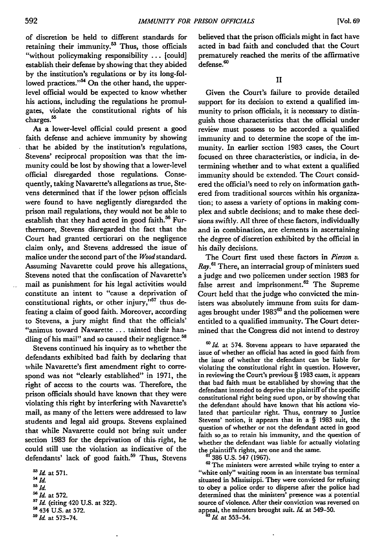of discretion be held to different standards for retaining their immunity.<sup>53</sup> Thus, those officials "without policymaking responsibility **...** [could] establish their defense **by** showing that they abided **by** the institution's regulations or **by** its long-followed practices."<sup>54</sup> On the other hand, the upperlevel official would be expected to know whether his actions, including the regulations he promulgates, violate the constitutional rights of his charges.<sup>55</sup>

As a lower-level official could present a good faith defense and achieve immunity **by** showing that he abided **by** the institution's regulations, Stevens' reciprocal proposition was that the immunity could be lost **by** showing that a lower-level official disregarded those regulations. Consequently, taking Navarette's allegations as true, Stevens determined that if the lower prison officials were found to have negligently disregarded the prison mail regulations, they would not be able to establish that they had acted in good faith.<sup>56</sup> Furthermore, Stevens disregarded the fact that the Court had granted certiorari on the negligence claim only, and Stevens addressed the issue of malice under the second part of the *Wood* standard. Assuming Navarette could prove his allegations, Stevens noted that the confiscation of Navarette's mail as punishment for his legal activities would constitute an intent to "cause a deprivation of constitutional rights, or other injury,"<sup>57</sup> thus defeating a claim of good faith. Moreover, according to Stevens, a jury might find that the officials' "animus toward Navarette **...** tainted their handling of his mail" and so caused their negligence.<sup>5</sup>

Stevens continued his inquiry as to whether the defendants exhibited bad faith **by** declaring that while Navarette's first amendment right to correspond was not "clearly established" in **1971,** the right of access to the courts was. Therefore, the prison officials should have known that they were violating this right **by** interfering with Navarette's mail, as many of the letters were addressed to law students and legal aid groups. Stevens explained that while Navarette could not bring suit under section **1983** for the deprivation of this. right, he could still use the violation as indicative of the defendants' lack of good faith.<sup>59</sup> Thus, Stevens

 *3Id* at **571.** <sup>54</sup>*55***id.** *Id.* <sup>56</sup>*Id.*<br><sup>56</sup>*Id.* at 572.<br><sup>57</sup>*Id.* (citing 420 U.S. at 322). 434 U.S. at 572. *Id* at **573-74.**

believed that the prison officials might in fact have acted in bad faith and concluded that the Court prematurely reached the merits of the affirmative defense.<sup>60</sup>

**II**

Given the Court's failure to provide detailed support for its decision to extend a qualified immunity to prison officials, it is necessary to distinguish those characteristics that the official under review must possess to be accorded a qualified immunity and to determine the scope of the immunity. In earlier section **1983** cases, the Court focused on three characteristics, or indicia, in determining whether and to what extent a qualified immunity should be extended. The Court considered the official's need to rely on information gathered from traditional sources within his organization; to assess a variety of options in making complex and subtle decisions; and to make these decisions swiftly. All three of these factors, individually and in combination, are elements in ascertaining the degree of discretion exhibited **by** the official in his daily decisions.

The Court first used these factors in *Pierson v. Ray.6'* There, an interracial group of ministers sued a judge and two policemen under section **1983** for false arrest and imprisonment.<sup>62</sup> The Supreme Court **held** that the judge who convicted the ministers was absolutely immune from suits for damages brought under **<sup>198</sup> <sup>3</sup><sup>63</sup>**and the policemen were entitled to a qualified immunity. The Court determined that the Congress did not intend to destroy

<sup>60</sup> Id. at 574. Stevens appears to have separated the issue of whether an official has acted in good faith from the issue of whether the defendant can be liable for violating the constitutional right in question. However, in reviewing the Court's previous § **1983** cases, it appears that bad faith must be established **by** showing that the defendant intended to deprive the plaintiffof the specific constitutional right being sued upon, or **by** showing that the defendant should have known that his actions violated that particular right. Thus, contrary **to** Justice Stevens' notion, it appears that in a § **1983** suit, the question of whether or not the defendant acted in good faith so as to retain his immunity, and the question of whether the defendant was liable for actually violating the plaintiff's rights, are one and the same. **61 386 U.S.** 547 **(1967).**

<sup>62</sup> The ministers were arrested while trying to enter a "white only" waiting room in an interstate bus terminal situated in Mississippi. They were convicted for refusing to obey a police order to disperse after the police had determined that the ministers' presence was a potential source of violence. After their conviction was reversed on appeal, the minsters brought suit. *Id.* at 549-50.

*Id.* at **553-54.**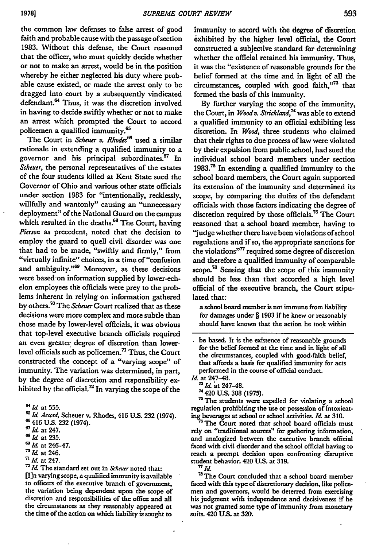the common law defenses to false arrest of good faith and probable cause with the passage of section **1983.** Without this defense, the Court reasoned that the officer, who must quickly decide whether or not to make an arrest, would be in the position whereby he either neglected his duty where probable cause existed, or made the arrest only to be dragged into court **by** a subsequently vindicated defendant.<sup>64</sup> Thus, it was the discretion involved in having to decide swiftly whether or not to make an arrest which prompted the Court to accord policemen a qualified immunity.<sup>65</sup>

The Court in *Scheuer* **v.** *Rhodes66* used a similar rationale in extending a qualified immunity to a governor and his principal subordinates.67 In *Scheuer,* the personal representatives of the estates of the four students killed at Kent State sued the Governor of Ohio and various other state officials under section **1983** for "intentionally, recklessly, willfully and wantonly" causing an "unnecessary deployment" of the National Guard on the campus which resulted in the deaths.<sup>68</sup> The Court, having *Pierson* as precedent, noted that the decision to employ the guard to quell civil disorder was one that had to be made, "swiftly and firmly," from "virtually infinite" choices, in a time of "confusion and ambiguity."<sup>69</sup> Moreover, as these decisions were based-on information supplied **by** lower-echelon employees the officials were prey to the problems inherent in relying on information gathered **by** others.70 The *Scheuer* Court realized that as these decisions were more complex and more subtle than those made **by** lower-level officials, it was obvious that top-level executive branch officials required an even greater degree of discretion than lowerlevel officials such as policemen.<sup>71</sup> Thus, the Court constructed the concept of a "varying scope" of immunity. The variation was determined, in part, **by** the degree of discretion and responsibility exhibited **by** the official.72 In varying the scope of the

**71** *Id* at 247.

**72 Id** The standard set out in *&Iheuer* noted that: [I]n varying scope, a qualified immunity is available to officers of the executive branch of government, the variation being dependent upon the scope of discretion and responsibilities of the office and **all** the circumstances as they reasonably appeared at the time of the action on which liability is sought to

immunity to accord with the degree of discretion exhibited **by** the higher level official, the Court constructed a subjective standard for determining whether the official retained his immunity. Thus, it was the "existence of reasonable grounds for the belief formed at the time and in light of all the circumstances, coupled with good faith,"73 that formed the basis of this immunity.

**By** further varying the scope of the immunity, the Court, in *Woody. Strickland,7 '* was able to exiend a qualified immunity to an official exhibiting less discretion. In *Wood,* three students who claimed that their rights to due process of law were violated by their expulsion from public school, had sued the individual school board members under section **1983.Ts** In extending a qualified immunity to the school board members, the Court again supported its extension of the immunity and determined its scope, by comparing the duties of the defendant officials with those factors indicating the degree of discretion required by those officials.<sup>76</sup> The Court reasoned that a school board member, having to "judge whether there have been violations of school regulations and if so, the appropriate sanctions for the violations"<sup>77</sup> required some degree of discretion and therefore a qualified immunity of comparable scope.<sup>78</sup> Sensing that the scope of this immunity should be less than that accorded a high level official of the executive branch, the Court stipulated that:

a school board member is not immune from liability for damages under § **1983** if he knew or reasonably should have known that the action he took within

<sup>75</sup> The students were expelled for violating a school regulation prohibiting the use or possession of intoxicat**ing** beverages at school or school activities. *Id* at **310.**

<sup>6</sup> The Court noted that school board officials must rely on "traditional sources" for gathering information, and analogized between the executive branch official faced with civil disorder and the school official having to reach a prompt decision upon confronting disruptive student behavior. 420 **U.S.** at **319.**

<sup>78</sup> The Court concluded that a school board member faced with this type of discretionary decision, like police- men and governors, would be deterred from exercising his judgment with independence and decisiveness if he was not granted some type of immunity from monetary suits. 420 **US.** at **320.**

**<sup>6&#</sup>x27;** *Id.* at **555. .***Id. Accord,* Scheuer v. Rhodes, 416 **U.S. 232** (1974).

**<sup>66</sup>** 416 **U.S. 232** (1974).

**<sup>67</sup>** *Id.* at 247.

**<sup>68</sup>** *Id* at **235.**

**<sup>69</sup>** *Id* at 246-47.

**<sup>7</sup>** *Id.* at 246.

be based. It is the existence of reasonable grounds for the belief formed at the time and in light of all the circumstances, coupled with good-faith belief, that affords a basis for qualified immunity for acts performed in the course of official conduct.

*Id.* at 247-48.<br>
<sup>73</sup>*Id.* at 247-48.<br>
<sup>74</sup> 420 U.S. 308 (1975).

 $^{\pi}$  Id.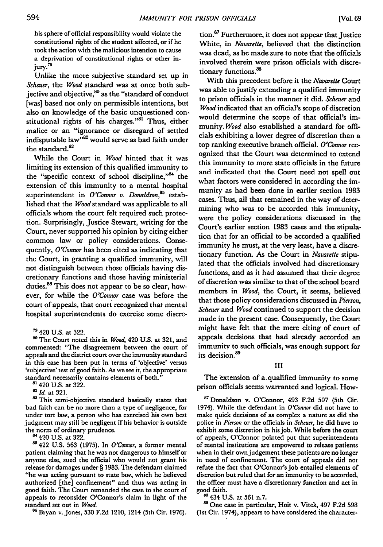his sphere of official responsibility would violate the constitutional rights of the student affected, or if he took the action with the malicious intention to cause a deprivation of constitutional rights or other injury.<sup>79</sup>

Unlike the more subjective standard set up in *Scheuer,* the *Wood* standard was at once both subjective and objective, $60$  as the "standard of conduct [was] based not only on permissible intentions, but also on knowledge of the basic unquestioned constitutional rights of his charges."<sup>81</sup> Thus, either malice or an "ignorance or disregard of settled indisputable law<sup>382</sup> would serve as bad faith under the standard.<sup>83</sup>

While the Court in *Wood* hinted that it was limiting its extension of this qualified immunity to the "specific context of school discipline," $84$  the extension of this immunity to a mental hospital superintendent in *O'Connor v. Donaldson*,<sup>85</sup> established that the *Wood* standard was applicable to all officials whom the court felt required such protection. Surprisingly, Justice Stewart, writing for the Court, never supported his opinion by citing either common law or policy considerations. Consequently, *O'Connor* has been cited as indicating that the Court, in granting a qualified immunity, will not distinguish between those officials having discretionary functions and those having ministerial duties.<sup>86</sup> This does not appear to be so clear, however, for while the *O'Connor* case was before the court of appeals, that court recognized that mental hospital superintendents do exercise some discre-

**80** The Court noted this in *Wood,* 420 U.S. at 321, and commented: "The disagreement between the court of appeals and the district court over the immunity standard in this case has been put in terms of 'objective' versus 'subjective' test of good faith. As we see it, the appropriate standard necessarily contains elements of both." **8'** 420 **U.S.** at **322.**

*82Id.* at **321.**

<sup>83</sup> This semi-objective standard basically states that bad faith can be no more than a type of negligence, for under tort **law, a** person **who** has exercised his own best judgment may still be negligent if his behavior is outside the norm of ordinary prudence.

**84** 420 **U.S.** at **322.**

ss 422 **U.S. 563 (1975).** In *O'Connor,* a former mental patient claiming that he was not dangerous to himself or anyone else, sued the official who would not grant his release for damages under § **1983.** The defendant claimed "he was acting pursuant to state law, which he believed authorized [the] confinement" and thus was acting in good faith. The Court remanded the case to the court of appeals to reconsider O'Connor's claim in light of the standard set out in *Wood.*

**86** Bryan v. Jones, **530 F.2d** 1210, 1214 (5th Cir. **1976).**

tion.<sup>87</sup> Furthermore, it does not appear that Justice White, in *Navarette,* believed that the distinction was dead, as he made sure to note that the officials involved therein were prison officials with discretionary functions.<sup>88</sup>

With this precedent before it the *Navarette* Court was able to justify extending a qualified immunity to prison officials in the manner it did. *Scheuer and Wood* indicated that an official's scope of discretion would determine the scope of that official's immunity. *Wood* also established a standard for officials exhibiting a lower degree of discretion than a top ranking executive branch official. *O'Connor* recognized that the Court was determined to extend this immunity to more state officials in the future and indicated that the Court need not spell out what factors were considered in according the immunity as had been done in earlier section 1983 cases. Thus, all that remained in the way of determining who was to be accorded this immunity, were the policy considerations discussed in the Court's earlier section 1983 cases and the stipulation that for an official to be accorded a qualified immunity he must, at the very least, have a discretionary function. As the Court in *Navarette* stipulated that the officials involved had discretionary functions, and as it had assumed that their degree of discretion was similar to that of the school board members in *Wood,* the Court, it seems, believed that those policy considerations discussed in *Pierson, Scheuer* and *Wood* continued to support the decision made in the present case. Consequently, the Court might have felt that the mere citing of court of appeals decisions that had already accorded an immunity to such officials, was enough support for its decision.<sup>89</sup>

III

The extension of a qualified immunity to some prison officials seems warranted and logical. How-

**'** Donaldson v. O'Connor, 493 F.2d 507 (5th Cir. 1974). While the defendant in *O'Connor* did not have to make quick decisions of as complex a nature as did the police in *Pierson* or the officials in *Scheuer,* he did have to exhibit some discretion in his job. While before the court of appeals, O'Connor pointed out that superintendents of mental institutions are empowered to release patients when in their own judgement these patients are no longer in need of confinement. The court of appeals did not refute the fact that O'Connor's **job** entailed elements of discretion but ruled that for an immunity to be accorded, the officer must have a discretionary function and act in good faith.

**<sup>88</sup>**434 **U.S.** at **561** n.7.

**<sup>89</sup>**One case in particular, Hoit v. Vitek, 497 **F.2d 598** (1st Cir. 1974), appears to have considered the character-

**<sup>79</sup>** 420 U.S. at 322.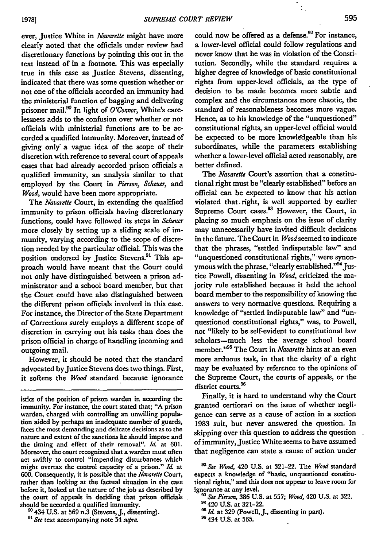ever, Justice White in *Navarelle* might have more clearly noted that the officials under review had discretionary functions **by** pointing this out in the text instead of in a footnote. This was especially true in this case as Justice Stevens, dissenting, indicated that there was some question whether or not one of the officials accorded an immunity had the ministerial function of bagging and delivering prisoner mail.90 In light of *O'Connor,* White's carelessness adds to the confusion over whether or not officials with ministerial functions are to be accorded a qualified immunity. Moreover, instead of giving only' a vague idea of the scope of their discretion with reference to several court of appeals cases that had already accorded prison officials a qualified immunity, an analysis similar to that employed by the Court in *Pierson, Scheuer, and Wood,* would have been more appropriate.

The *Navarelle* Court, in extending the qualified immunity to prison officials having discretionary functions, could have followed its steps in *Scheuer* more closely by setting up a sliding scale of immunity, varying according to the scope of discretion needed by the particular official. This was the position endorsed by Justice Stevens.<sup>91</sup> This approach would have meant that the Court could not only have distinguished between a prison administrator and a school board member, but that the Court could have also distinguished between the different prison officials involved in this case. For instance, the Director of the State Department of Corrections surely employs a different scope of discretion in carrying out his tasks than does the prison official in charge of handling incoming and outgoing mail.

However, it should be noted that the standard advocated by Justice Stevens does two things. First, it softens the *Wood* standard because ignorance

could now be offered as a defense.<sup>92</sup> For instance, a lower-level official could follow regulations and never know that he was in violation of the Constitution. Secondly, while the standard requires a higher degree of knowledge of basic constitutional rights from upper-level officials, as the type of decision to be made becomes more subtle and complex and the circumstances more chaotic, the standard of reasonableness becomes more vague. Hence, as to his knowledge of the "unquestioned" constitutional rights, an upper-level official would be expected to be more knowledgeable than his subordinates, while the parameters establishing whether a lower-level official acted reasonably, are better defined.

The *Navarette* Court's assertion that a constitutional right must be "clearly established" before an official can be expected to know that his action violated that.right, is well supported **by** earlier Supreme Court cases.<sup>93</sup> However, the Court, in placing so much emphasis on the issue of clarity may unnecessarily have invited difficult decisions in the future. The Court in Wood seemed to indicate that the phrases, "settled indisputable law" and "unquestioned constitutional rights," were synonymous with the phrase, "clearly established."<sup>94</sup> Justice Powell, dissenting in *Wood,* criticized the majority rule established because it held the school board member to the responsibility of knowing the answers to very normative questions. Requiring a knowledge of "settled indisputable law" and "unquestioned constitutional rights," was, to Powell, not "likely to be self-evident to constitutional law scholars-much less the average school board member."95 The Court in *Navarette* hints at an even more arduous task, in that the clarity of a right may be evaluated by reference to the opinions of the Supreme Court, the courts of appeals, or the district courts.<sup>96</sup>

Finally, it is hard to understand why the Court granted certiorari on the issue of whether negligence can serve as a cause of action in a section **1983** suit, but never answered the question. In skipping over this question to address the question of immunity, Justice White seems to have assumed that negligence can state a cause of action under

**94** 420 **U.S.** at **321-22.**

**<sup>96</sup>**434 **U.S.** at **565.**

istics of the position of prison warden in according the immunity. For instance, the court stated that; **"A** prison warden, charged with controlling an unwilling population aided **by** perhaps an inadequate number of guards, faces the most demanding and delicate decisions as to the nature and extent of the sanctions he should impose and the timing and effect of their removal". *It.* at **601.** Moreover, the court recognized that a warden must often act swiftly to control "impending disturbances which might overtax the control capacity of a prison." **Id.** at 600. Consequently, it is possible that the *Navareuc* Court, rather than looking at the factual situation in the case before it, looked at the nature of the job as described **by** the court of appeals in deciding that prison officials. should **be** accorded a qualified immunity.

**<sup>90</sup>**434 U.S. at 569 n.3 (Stevens, **J.,** dissenting).

*<sup>9&#</sup>x27; See* text accompanying note 54 *supra.*

**<sup>92</sup>***See Wood,* 420 **U.S.** at **321-22.** The *Wood* standard expects a knowledge of "basic, unquestioned constitutional rights," and this does not appear to leave room for ignorance at any level.

**<sup>9</sup>** *See Pierson,* 386 **U.S.** at **557;** *Wood,* 420 **U.S.** at **322.**

<sup>&</sup>lt;sup>95</sup> *Id.* at 329 (Powell, J., dissenting in part).